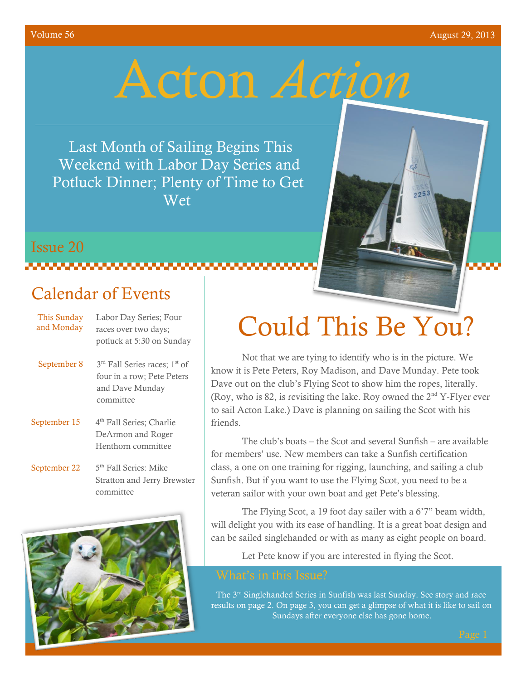Issue 20

# Acton *Action*

Last Month of Sailing Begins This Weekend with Labor Day Series and Potluck Dinner; Plenty of Time to Get Wet



### **Manazarta**

### Calendar of Events

| This Sunday<br>and Monday | Labor Day Series; Four<br>races over two days;<br>potluck at 5:30 on Sunday                                         |
|---------------------------|---------------------------------------------------------------------------------------------------------------------|
| September 8               | 3 <sup>rd</sup> Fall Series races; 1 <sup>st</sup> of<br>four in a row; Pete Peters<br>and Dave Munday<br>committee |
| September 15              | 4 <sup>th</sup> Fall Series; Charlie<br>DeArmon and Roger<br>Henthorn committee                                     |
| September 22              | 5 <sup>th</sup> Fall Series: Mike<br><b>Stratton and Jerry Brewster</b><br>committee                                |



# Could This Be You?

Not that we are tying to identify who is in the picture. We know it is Pete Peters, Roy Madison, and Dave Munday. Pete took Dave out on the club's Flying Scot to show him the ropes, literally. (Roy, who is 82, is revisiting the lake. Roy owned the  $2<sup>nd</sup>$  Y-Flyer ever to sail Acton Lake.) Dave is planning on sailing the Scot with his friends.

The club's boats – the Scot and several Sunfish – are available for members' use. New members can take a Sunfish certification class, a one on one training for rigging, launching, and sailing a club Sunfish. But if you want to use the Flying Scot, you need to be a veteran sailor with your own boat and get Pete's blessing.

The Flying Scot, a 19 foot day sailer with a 6'7" beam width, will delight you with its ease of handling. It is a great boat design and can be sailed singlehanded or with as many as eight people on board.

Let Pete know if you are interested in flying the Scot.

The 3<sup>rd</sup> Singlehanded Series in Sunfish was last Sunday. See story and race results on page 2. On page 3, you can get a glimpse of what it is like to sail on Sundays after everyone else has gone home.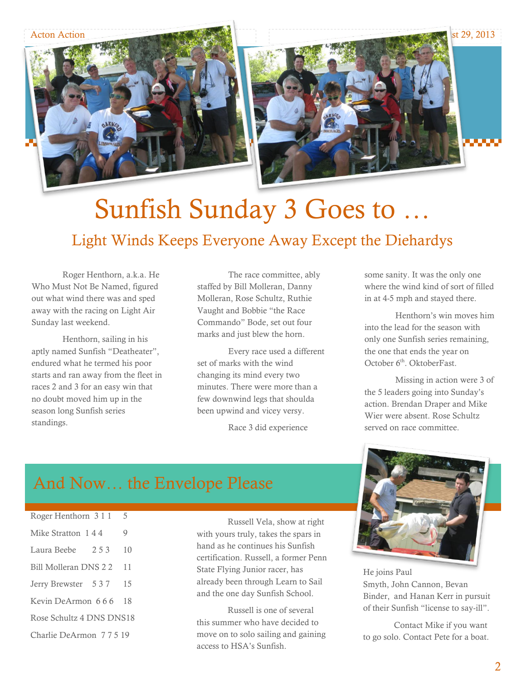



### Sunfish Sunday 3 Goes to … Light Winds Keeps Everyone Away Except the Diehardys

Roger Henthorn, a.k.a. He Who Must Not Be Named, figured out what wind there was and sped away with the racing on Light Air Sunday last weekend.

Henthorn, sailing in his aptly named Sunfish "Deatheater", endured what he termed his poor starts and ran away from the fleet in races 2 and 3 for an easy win that no doubt moved him up in the season long Sunfish series standings.

The race committee, ably staffed by Bill Molleran, Danny Molleran, Rose Schultz, Ruthie Vaught and Bobbie "the Race Commando" Bode, set out four marks and just blew the horn.

Every race used a different set of marks with the wind changing its mind every two minutes. There were more than a few downwind legs that shoulda been upwind and vicey versy.

Race 3 did experience

some sanity. It was the only one where the wind kind of sort of filled in at 4-5 mph and stayed there.

Henthorn's win moves him into the lead for the season with only one Sunfish series remaining, the one that ends the year on October 6<sup>th</sup>. OktoberFast.

Missing in action were 3 of the 5 leaders going into Sunday's action. Brendan Draper and Mike Wier were absent. Rose Schultz served on race committee.

### And Now… the Envelope Please

| Roger Henthorn 3 1 1     | 5     |    |  |
|--------------------------|-------|----|--|
| Mike Stratton 144        |       | 9  |  |
| Laura Beebe              | 2.5.3 | 10 |  |
| Bill Molleran DNS 2 2    |       | 11 |  |
| Jerry Brewster 537       |       | 15 |  |
| Kevin DeArmon 666        |       | 18 |  |
| Rose Schultz 4 DNS DNS18 |       |    |  |
| Charlie DeArmon 77519    |       |    |  |

Russell Vela, show at right with yours truly, takes the spars in hand as he continues his Sunfish certification. Russell, a former Penn State Flying Junior racer, has already been through Learn to Sail and the one day Sunfish School.

Russell is one of several this summer who have decided to move on to solo sailing and gaining access to HSA's Sunfish.



He joins Paul Smyth, John Cannon, Bevan Binder, and Hanan Kerr in pursuit of their Sunfish "license to say-ill".

Contact Mike if you want to go solo. Contact Pete for a boat.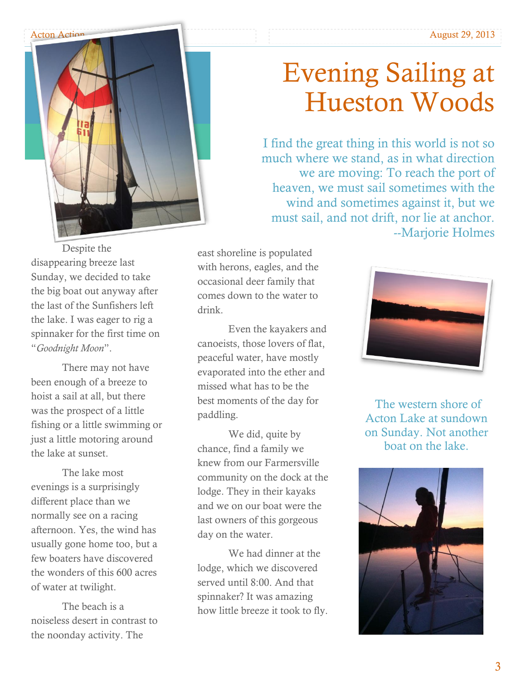

## Evening Sailing at Hueston Woods

I find the great thing in this world is not so much where we stand, as in what direction we are moving: To reach the port of heaven, we must sail sometimes with the wind and sometimes against it, but we must sail, and not drift, nor lie at anchor. --Marjorie Holmes

Despite the disappearing breeze last Sunday, we decided to take the big boat out anyway after the last of the Sunfishers left the lake. I was eager to rig a spinnaker for the first time on "*Goodnight Moon*".

There may not have been enough of a breeze to hoist a sail at all, but there was the prospect of a little fishing or a little swimming or just a little motoring around the lake at sunset.

The lake most evenings is a surprisingly different place than we normally see on a racing afternoon. Yes, the wind has usually gone home too, but a few boaters have discovered the wonders of this 600 acres of water at twilight.

The beach is a noiseless desert in contrast to the noonday activity. The

east shoreline is populated with herons, eagles, and the occasional deer family that comes down to the water to drink.

Even the kayakers and canoeists, those lovers of flat, peaceful water, have mostly evaporated into the ether and missed what has to be the best moments of the day for paddling.

We did, quite by chance, find a family we knew from our Farmersville community on the dock at the lodge. They in their kayaks and we on our boat were the last owners of this gorgeous day on the water.

We had dinner at the lodge, which we discovered served until 8:00. And that spinnaker? It was amazing how little breeze it took to fly.



The western shore of Acton Lake at sundown on Sunday. Not another boat on the lake.